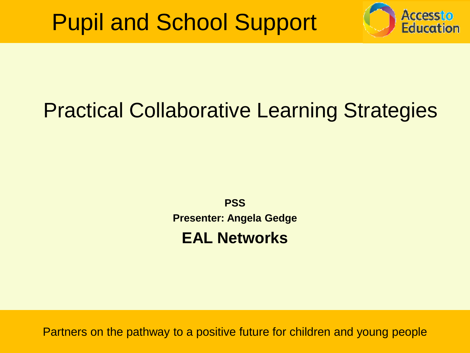## Pupil and School Support



## Practical Collaborative Learning Strategies

**PSS Presenter: Angela Gedge EAL Networks**

Partners on the pathway to a positive future for children and young people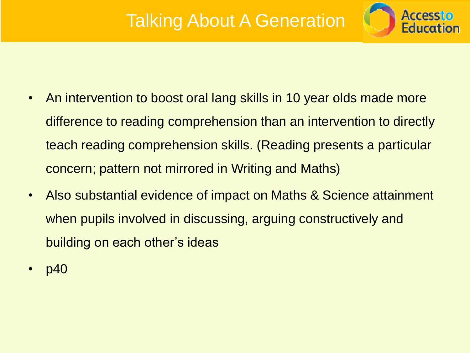### Talking About A Generation



- An intervention to boost oral lang skills in 10 year olds made more difference to reading comprehension than an intervention to directly teach reading comprehension skills. (Reading presents a particular concern; pattern not mirrored in Writing and Maths)
- Also substantial evidence of impact on Maths & Science attainment when pupils involved in discussing, arguing constructively and building on each other's ideas
- **p40**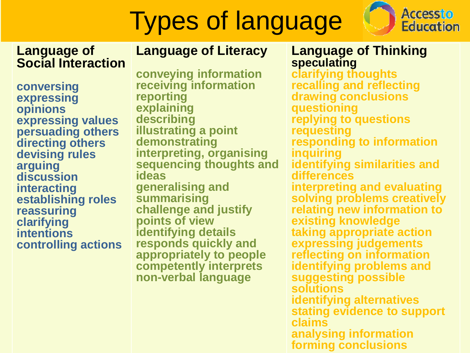# Types of language



#### **Language of Social Interaction**

**conversing expressing opinions expressing values persuading others directing others devising rules arguing discussion interacting establishing roles reassuring clarifying intentions controlling actions** 

#### **conveying information receiving information reporting explaining describing illustrating a point demonstrating interpreting, organising sequencing thoughts and ideas generalising and summarising challenge and justify points of view identifying details responds quickly and appropriately to people competently interprets non-verbal language**

**Language of Literacy**

#### **Language of Thinking speculating**

**clarifying thoughts recalling and reflecting drawing conclusions questioning replying to questions requesting responding to information inquiring identifying similarities and differences interpreting and evaluating solving problems creatively relating new information to existing knowledge taking appropriate action expressing judgements reflecting on information identifying problems and suggesting possible solutions identifying alternatives stating evidence to support claims analysing information forming conclusions**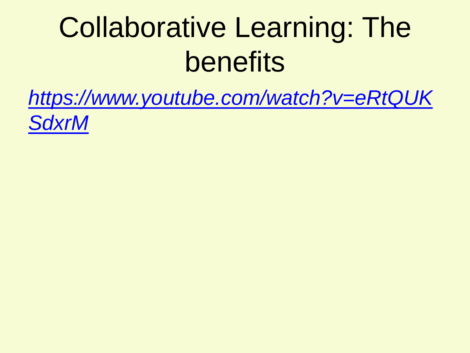# Collaborative Learning: The benefits

*[https://www.youtube.com/watch?v=eRtQUK](https://www.youtube.com/watch?v=eRtQUKSdxrM)*

*[SdxrM](https://www.youtube.com/watch?v=eRtQUKSdxrM)*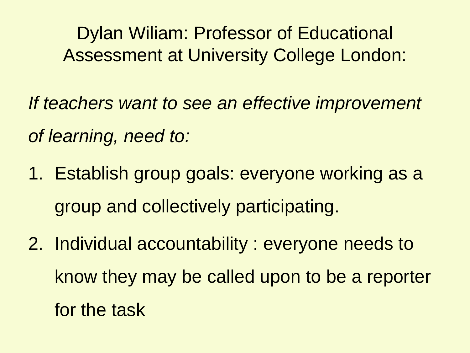Dylan Wiliam: Professor of Educational Assessment at University College London:

*If teachers want to see an effective improvement of learning, need to:*

- 1. Establish group goals: everyone working as a group and collectively participating.
- 2. Individual accountability : everyone needs to know they may be called upon to be a reporter for the task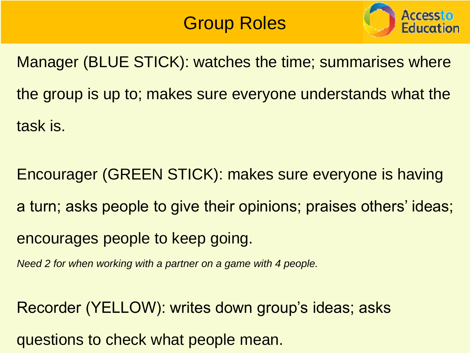### Group Roles



Manager (BLUE STICK): watches the time; summarises where the group is up to; makes sure everyone understands what the task is.

Encourager (GREEN STICK): makes sure everyone is having a turn; asks people to give their opinions; praises others' ideas; encourages people to keep going.

*Need 2 for when working with a partner on a game with 4 people.*

Recorder (YELLOW): writes down group's ideas; asks questions to check what people mean.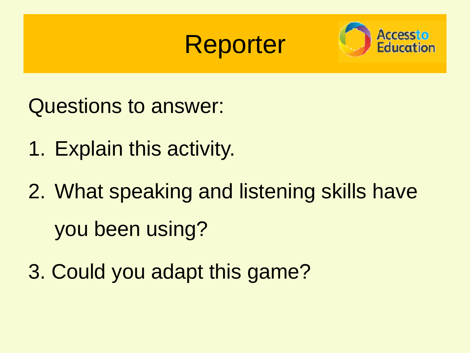## **Reporter**



Questions to answer:

- 1. Explain this activity.
- 2. What speaking and listening skills have you been using?
- 3. Could you adapt this game?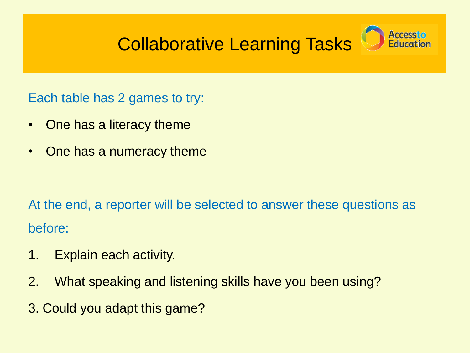### Collaborative Learning Tasks



Each table has 2 games to try:

- One has a literacy theme
- One has a numeracy theme

At the end, a reporter will be selected to answer these questions as before:

- 1. Explain each activity.
- 2. What speaking and listening skills have you been using?
- 3. Could you adapt this game?